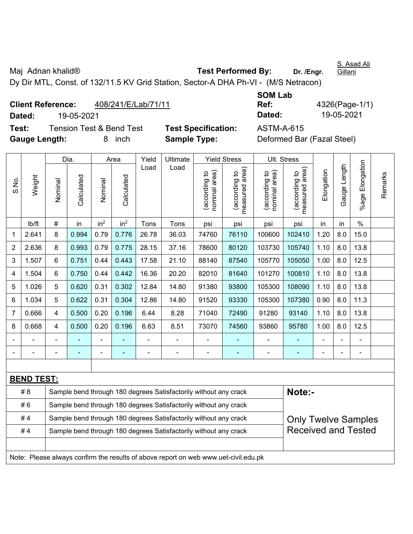S. Asad Ali Gillani

Maj Adnan khalid<sup>®</sup> **Test Performed By:** Dr. /Engr.

Dy Dir MTL, Const. of 132/11.5 KV Grid Station, Sector-A DHA Ph-VI - (M/S Netracon)

| <b>Client Reference:</b> |            | 408/241/E/Lab/71/11      |                            | Ref:       | 4326(Page                  |
|--------------------------|------------|--------------------------|----------------------------|------------|----------------------------|
| Dated:                   | 19-05-2021 |                          |                            | Dated:     | 19-05-202                  |
| Test:                    |            | Tension Test & Bend Test | <b>Test Specification:</b> | ASTM-A-615 |                            |
| <b>Gauge Length:</b>     |            | inch                     | <b>Sample Type:</b>        |            | Deformed Bar (Fazal Steel) |

**SOM Lab Ref:** 4326(Page-1/1) **Dated:** 19-05-2021 **Dated:** 19-05-2021

|                |                                                                                     |                | Dia.                                                             | Area                                                             |                                                                  | Yield | Ultimate                                                         | <b>Yield Stress</b>            |                                 |                                | Ult. Stress                     |            |              |                      |         |
|----------------|-------------------------------------------------------------------------------------|----------------|------------------------------------------------------------------|------------------------------------------------------------------|------------------------------------------------------------------|-------|------------------------------------------------------------------|--------------------------------|---------------------------------|--------------------------------|---------------------------------|------------|--------------|----------------------|---------|
| S.No.          | Weight                                                                              | Nominal        | Calculated                                                       | Nominal                                                          | Calculated                                                       | Load  | Load                                                             | nominal area)<br>(according to | (according to<br>measured area) | (according to<br>nominal area) | (according to<br>measured area) | Elongation | Gauge Length | Elongation<br>%age F | Remarks |
|                | lb/ft                                                                               | $\#$           | in                                                               | in <sup>2</sup>                                                  | in <sup>2</sup>                                                  | Tons  | Tons                                                             | psi                            | psi                             | psi                            | psi                             | in         | in           | $\%$                 |         |
| $\mathbf{1}$   | 2.641                                                                               | 8              | 0.994                                                            | 0.79                                                             | 0.776                                                            | 26.78 | 36.03                                                            | 74760                          | 76110                           | 100600                         | 102410                          | 1.20       | 8.0          | 15.0                 |         |
| $\overline{2}$ | 2.636                                                                               | 8              | 0.993                                                            | 0.79                                                             | 0.775                                                            | 28.15 | 37.16                                                            | 78600                          | 80120                           | 103730                         | 105740                          | 1.10       | 8.0          | 13.8                 |         |
| 3              | 1.507                                                                               | 6              | 0.751                                                            | 0.44                                                             | 0.443                                                            | 17.58 | 21.10                                                            | 88140                          | 87540                           | 105770                         | 105050                          | 1.00       | 8.0          | 12.5                 |         |
| 4              | 1.504                                                                               | 6              | 0.750                                                            | 0.44                                                             | 0.442                                                            | 16.36 | 20.20                                                            | 82010                          | 81640                           | 101270                         | 100810                          | 1.10       | 8.0          | 13.8                 |         |
| 5              | 1.026                                                                               | 5              | 0.620                                                            | 0.31                                                             | 0.302                                                            | 12.84 | 14.80                                                            | 91380                          | 93800                           | 105300                         | 108090                          | 1.10       | 8.0          | 13.8                 |         |
| 6              | 1.034                                                                               | 5              | 0.622                                                            | 0.31                                                             | 0.304                                                            | 12.86 | 14.80                                                            | 91520                          | 93330                           | 105300                         | 107380                          | 0.90       | 8.0          | 11.3                 |         |
| $\overline{7}$ | 0.666                                                                               | $\overline{4}$ | 0.500                                                            | 0.20                                                             | 0.196                                                            | 6.44  | 8.28                                                             | 71040                          | 72490                           | 91280                          | 93140                           | 1.10       | 8.0          | 13.8                 |         |
| 8              | 0.668                                                                               | $\overline{4}$ | 0.500                                                            | 0.20                                                             | 0.196                                                            | 6.63  | 8.51                                                             | 73070                          | 74560                           | 93860                          | 95780                           | 1.00       | 8.0          | 12.5                 |         |
|                |                                                                                     |                |                                                                  |                                                                  |                                                                  |       |                                                                  |                                |                                 |                                |                                 |            |              |                      |         |
| $\blacksquare$ |                                                                                     |                | $\blacksquare$                                                   | ÷                                                                |                                                                  |       | ÷                                                                | $\blacksquare$                 | $\blacksquare$                  | $\overline{\phantom{a}}$       | ٠                               |            |              | $\blacksquare$       |         |
|                |                                                                                     |                |                                                                  |                                                                  |                                                                  |       |                                                                  |                                |                                 |                                |                                 |            |              |                      |         |
|                | <b>BEND TEST:</b>                                                                   |                |                                                                  |                                                                  |                                                                  |       |                                                                  |                                |                                 |                                |                                 |            |              |                      |         |
|                | #8                                                                                  |                |                                                                  |                                                                  |                                                                  |       | Sample bend through 180 degrees Satisfactorily without any crack |                                |                                 |                                |                                 | Note:-     |              |                      |         |
| #6             |                                                                                     |                |                                                                  |                                                                  | Sample bend through 180 degrees Satisfactorily without any crack |       |                                                                  |                                |                                 |                                |                                 |            |              |                      |         |
| #4             |                                                                                     |                | Sample bend through 180 degrees Satisfactorily without any crack |                                                                  |                                                                  |       |                                                                  |                                | <b>Only Twelve Samples</b>      |                                |                                 |            |              |                      |         |
| #4             |                                                                                     |                |                                                                  | Sample bend through 180 degrees Satisfactorily without any crack |                                                                  |       |                                                                  | <b>Received and Tested</b>     |                                 |                                |                                 |            |              |                      |         |
|                | Note: Please always confirm the results of above report on web www.uet-civil.edu.pk |                |                                                                  |                                                                  |                                                                  |       |                                                                  |                                |                                 |                                |                                 |            |              |                      |         |